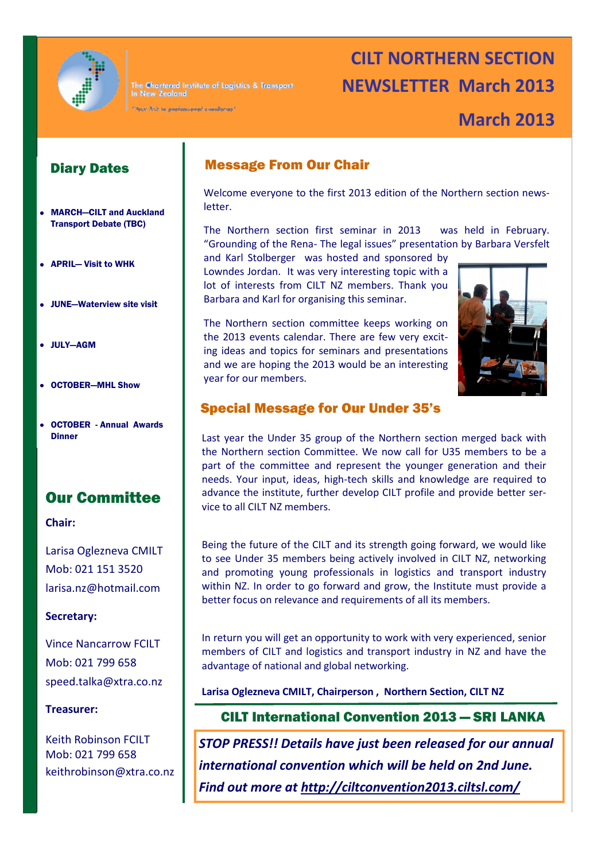

The Chartered Institute of Logistics & Transport In New Zealand

Nour link to professional cusalizace"

# **CILT NORTHERN SECTION NEWSLETTER March 2013**

# **March 2013**

#### Diary Dates

- MARCH—CILT and Auckland Transport Debate (TBC)
- APRIL— Visit to WHK
- JUNE—Waterview site visit
- JULY—AGM
- OCTOBER—MHL Show
- OCTOBER Annual Awards

### Our Committee

#### **Chair:**

Larisa Oglezneva CMILT Mob: 021 151 3520 [larisa.nz@hotmail.com](mailto:larisa.nz@hotmail.com)

#### **Secretary:**

Vince Nancarrow FCILT Mob: 021 799 658 [speed.talka@xtra.co.nz](mailto:speed.talka@xtra.co.nz)

#### **Treasurer:**

Keith Robinson FCILT Mob: 021 799 658 [keithrobinson@xtra.co.nz](mailto:eithrobinson@xtra.co.nz)

#### Message From Our Chair

Welcome everyone to the first 2013 edition of the Northern section newsletter.

The Northern section first seminar in 2013 was held in February. "Grounding of the Rena- The legal issues" presentation by Barbara Versfelt

and Karl Stolberger was hosted and sponsored by Lowndes Jordan. It was very interesting topic with a lot of interests from CILT NZ members. Thank you Barbara and Karl for organising this seminar.

The Northern section committee keeps working on the 2013 events calendar. There are few very exciting ideas and topics for seminars and presentations and we are hoping the 2013 would be an interesting year for our members.



#### Special Message for Our Under 35's

**Dinner Last year the Under 35 group of the Northern section merged back with** the Northern section Committee. We now call for U35 members to be a part of the committee and represent the younger generation and their needs. Your input, ideas, high-tech skills and knowledge are required to advance the institute, further develop CILT profile and provide better service to all CILT NZ members.

> Being the future of the CILT and its strength going forward, we would like to see Under 35 members being actively involved in CILT NZ, networking and promoting young professionals in logistics and transport industry within NZ. In order to go forward and grow, the Institute must provide a better focus on relevance and requirements of all its members.

> In return you will get an opportunity to work with very experienced, senior members of CILT and logistics and transport industry in NZ and have the advantage of national and global networking.

**Larisa Oglezneva CMILT, Chairperson , Northern Section, CILT NZ** 

#### CILT International Convention 2013 — SRI LANKA

*STOP PRESS!! Details have just been released for our annual international convention which will be held on 2nd June. Find out more at [http://ciltconvention2013.ciltsl.com/](https://owa.manukau.ac.nz/owa/redir.aspx?C=9f8c7467deb2491c889049b15231c0a2&URL=http%3a%2f%2fciltconvention2013.ciltsl.com%2f)*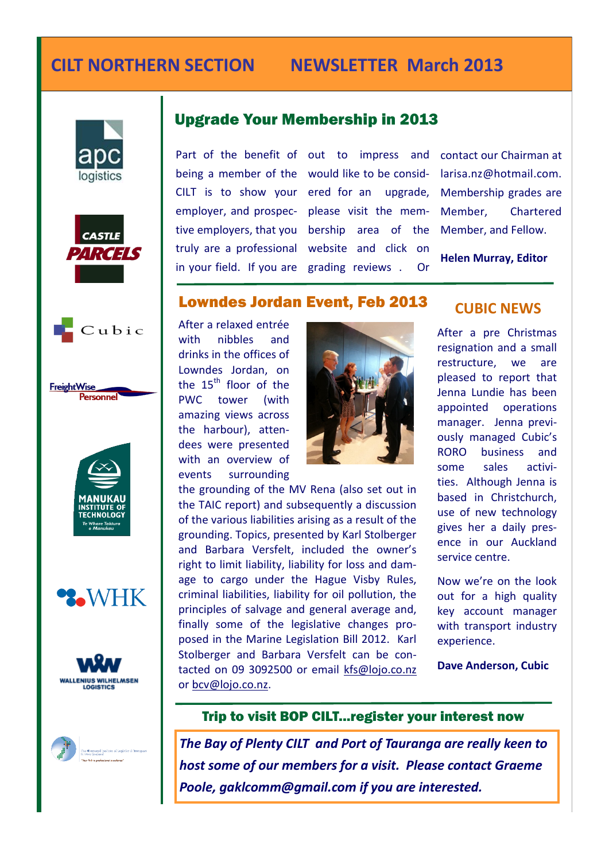# **CILT NORTHERN SECTION NEWSLETTER March 2013**

















### Upgrade Your Membership in 2013

truly are a professional

Part of the benefit of out to impress and contact our Chairman at being a member of the would like to be consid-CILT is to show your ered for an upgrade, Membership grades are employer, and prospec-please visit the memtive employers, that you bership area of the Member, and Fellow. in your field. If you are grading reviews . Or website and click on

[larisa.nz@hotmail.com.](mailto:larisa.nz@hotmail.com)  Chartered

**Helen Murray, Editor**

#### Lowndes Jordan Event, Feb 2013

After a relaxed entrée with nibbles and drinks in the offices of Lowndes Jordan, on the  $15<sup>th</sup>$  floor of the PWC tower (with amazing views across the harbour), attendees were presented with an overview of events surrounding



the grounding of the MV Rena (also set out in the TAIC report) and subsequently a discussion of the various liabilities arising as a result of the grounding. Topics, presented by Karl Stolberger and Barbara Versfelt, included the owner's right to limit liability, liability for loss and damage to cargo under the Hague Visby Rules, criminal liabilities, liability for oil pollution, the principles of salvage and general average and, finally some of the legislative changes proposed in the Marine Legislation Bill 2012. Karl Stolberger and Barbara Versfelt can be contacted on 09 3092500 or email [kfs@lojo.co.nz](mailto:kfs@lojo.co.nz) [or bcv@lojo.co.nz.](mailto:/bcv@lojo.co.nz)

#### **CUBIC NEWS**

After a pre Christmas resignation and a small restructure, we are pleased to report that Jenna Lundie has been appointed operations manager. Jenna previously managed Cubic's RORO business and some sales activities. Although Jenna is based in Christchurch, use of new technology gives her a daily presence in our Auckland service centre.

Now we're on the look out for a high quality key account manager with transport industry experience.

**Dave Anderson, Cubic**

#### Trip to visit BOP CILT...register your interest now

*The Bay of Plenty CILT and Port of Tauranga are really keen to host some of our members for a visit. Please contact Graeme Poole, gaklcomm@gmail.com if you are interested.*